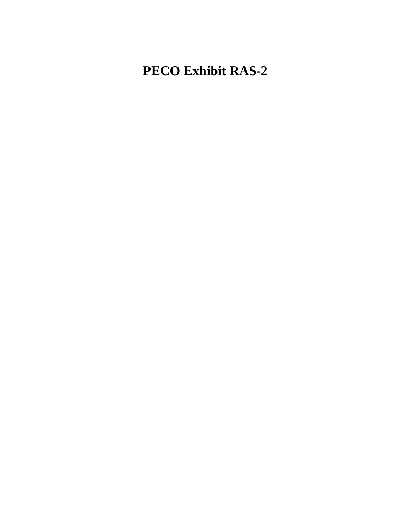## **PECO Exhibit RAS-2**